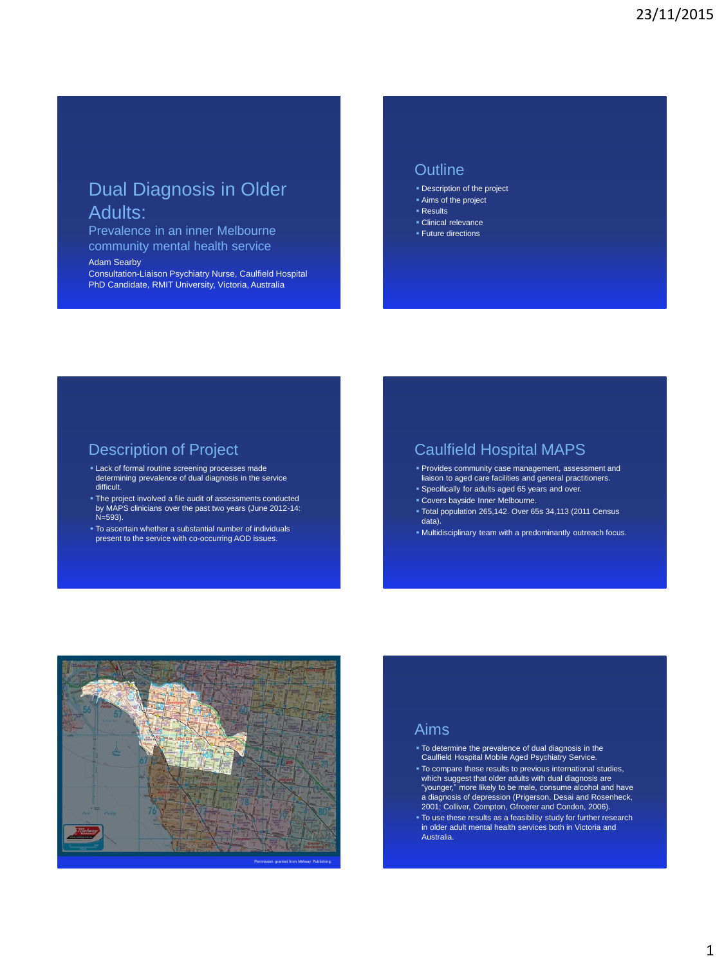# Dual Diagnosis in Older Adults:

Prevalence in an inner Melbourne community mental health service

#### Adam Searby

Consultation-Liaison Psychiatry Nurse, Caulfield Hospital PhD Candidate, RMIT University, Victoria, Australia

#### **Outline**

- Description of the project
- Aims of the project
- Results
- Clinical relevance **Future directions**

#### Description of Project

- Lack of formal routine screening processes made determining prevalence of dual diagnosis in the service difficult.
- The project involved a file audit of assessments conducted by MAPS clinicians over the past two years (June 2012-14: N=593).
- To ascertain whether a substantial number of individuals present to the service with co-occurring AOD issues.

#### Caulfield Hospital MAPS

- Provides community case management, assessment and liaison to aged care facilities and general practitioners.
- Specifically for adults aged 65 years and over.
- Covers bayside Inner Melbourne.
- Total population 265,142. Over 65s 34,113 (2011 Census data).
- Multidisciplinary team with a predominantly outreach focus.



#### Aims

- To determine the prevalence of dual diagnosis in the Caulfield Hospital Mobile Aged Psychiatry Service.
- To compare these results to previous international studies, which suggest that older adults with dual diagnosis are "younger," more likely to be male, consume alcohol and have a diagnosis of depression (Prigerson, Desai and Rosenheck, 2001; Colliver, Compton, Gfroerer and Condon, 2006).
- To use these results as a feasibility study for further research in older adult mental health services both in Victoria and Australia.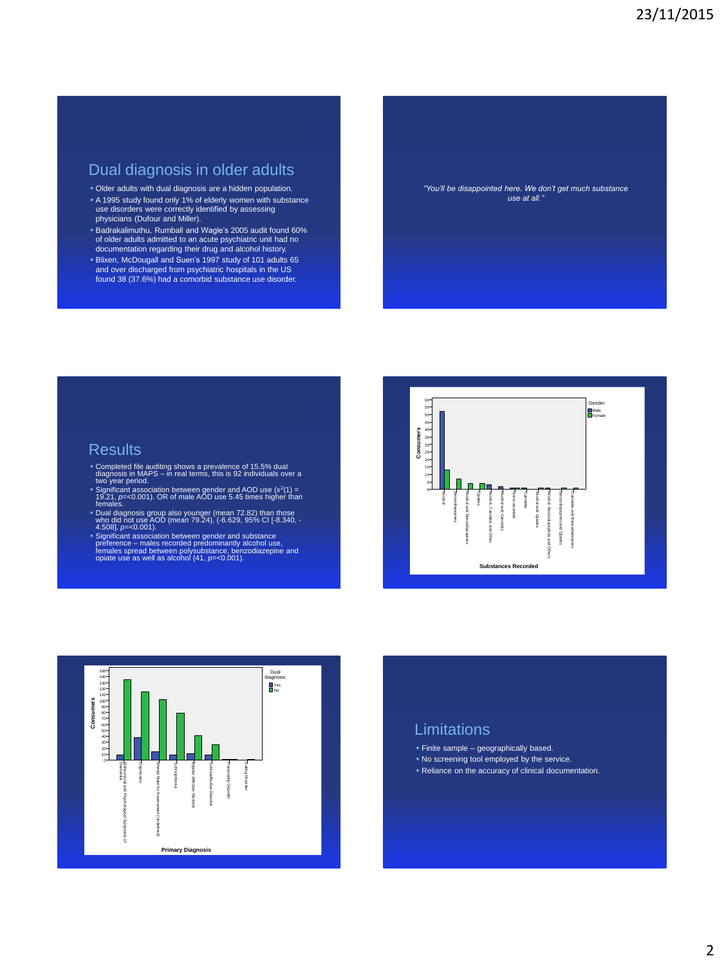#### Dual diagnosis in older adults

- Older adults with dual diagnosis are a hidden population.
- A 1995 study found only 1% of elderly women with substance use disorders were correctly identified by assessing physicians (Dufour and Miller).
- Badrakalimuthu, Rumball and Wagle's 2005 audit found 60% of older adults admitted to an acute psychiatric unit had no documentation regarding their drug and alcohol history. Blixen, McDougall and Suen's 1997 study of 101 adults 65 and over discharged from psychiatric hospitals in the US found 38 (37.6%) had a comorbid substance use disorder.

*"You'll be disappointed here. We don't get much substance use at all."*

## **Results**

- Completed file auditing shows a prevalence of 15.5% dual diagnosis in MAPS in real terms, this is 92 individuals over a two year period.
- Significant association between gender and AOD use (x<sup>2</sup>(1) =<br>19.21, *p*=<0.001). OR of male AOD use 5.45 times higher than<br>females.
- Dual diagnosis group also younger (mean 72.82) than those<br>who did not use AOD (mean 79.24), (*-*6.629, 95% CI [-8.340, -<br> 4.508], *p*=<0.001).
- 
- Significant association between gender and substance<br>preference males recorded predominantly alcohol use,<br>females spread between polysubstance, benzodiazepine and<br>opiate use as well as alcohol (41, *p*=<0.001).





#### Limitations

- Finite sample geographically based.
- No screening tool employed by the service.
- **Reliance on the accuracy of clinical documentation.**